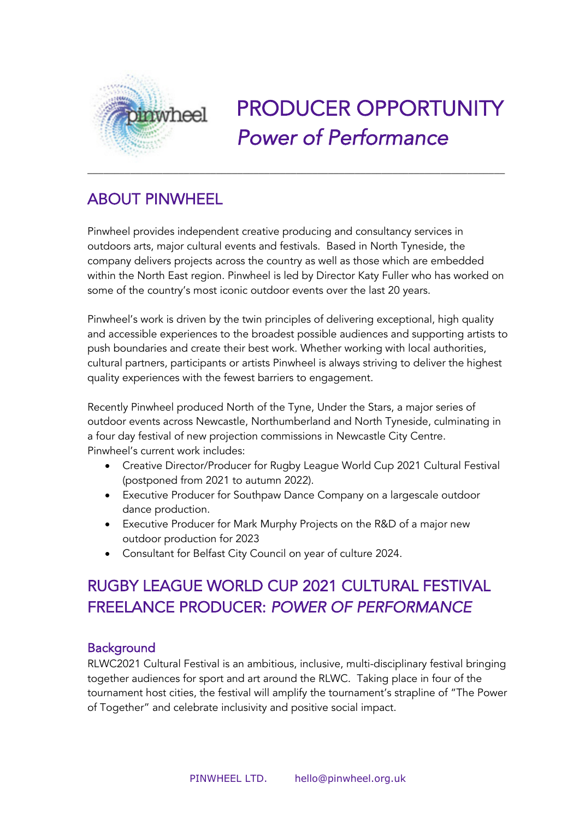

# PRODUCER OPPORTUNITY *Power of Performance*

# ABOUT PINWHEEL

Pinwheel provides independent creative producing and consultancy services in outdoors arts, major cultural events and festivals. Based in North Tyneside, the company delivers projects across the country as well as those which are embedded within the North East region. Pinwheel is led by Director Katy Fuller who has worked on some of the country's most iconic outdoor events over the last 20 years.

\_\_\_\_\_\_\_\_\_\_\_\_\_\_\_\_\_\_\_\_\_\_\_\_\_\_\_\_\_\_\_\_\_\_\_\_\_\_\_\_\_\_\_\_\_\_\_\_\_\_\_\_\_\_\_\_\_\_\_\_\_\_\_\_\_\_\_\_\_\_\_\_\_\_\_\_\_\_

Pinwheel's work is driven by the twin principles of delivering exceptional, high quality and accessible experiences to the broadest possible audiences and supporting artists to push boundaries and create their best work. Whether working with local authorities, cultural partners, participants or artists Pinwheel is always striving to deliver the highest quality experiences with the fewest barriers to engagement.

Recently Pinwheel produced North of the Tyne, Under the Stars, a major series of outdoor events across Newcastle, Northumberland and North Tyneside, culminating in a four day festival of new projection commissions in Newcastle City Centre. Pinwheel's current work includes:

- Creative Director/Producer for Rugby League World Cup 2021 Cultural Festival (postponed from 2021 to autumn 2022).
- Executive Producer for Southpaw Dance Company on a largescale outdoor dance production.
- Executive Producer for Mark Murphy Projects on the R&D of a major new outdoor production for 2023
- Consultant for Belfast City Council on year of culture 2024.

# RUGBY LEAGUE WORLD CUP 2021 CULTURAL FESTIVAL FREELANCE PRODUCER: *POWER OF PERFORMANCE*

## **Background**

RLWC2021 Cultural Festival is an ambitious, inclusive, multi-disciplinary festival bringing together audiences for sport and art around the RLWC. Taking place in four of the tournament host cities, the festival will amplify the tournament's strapline of "The Power of Together" and celebrate inclusivity and positive social impact.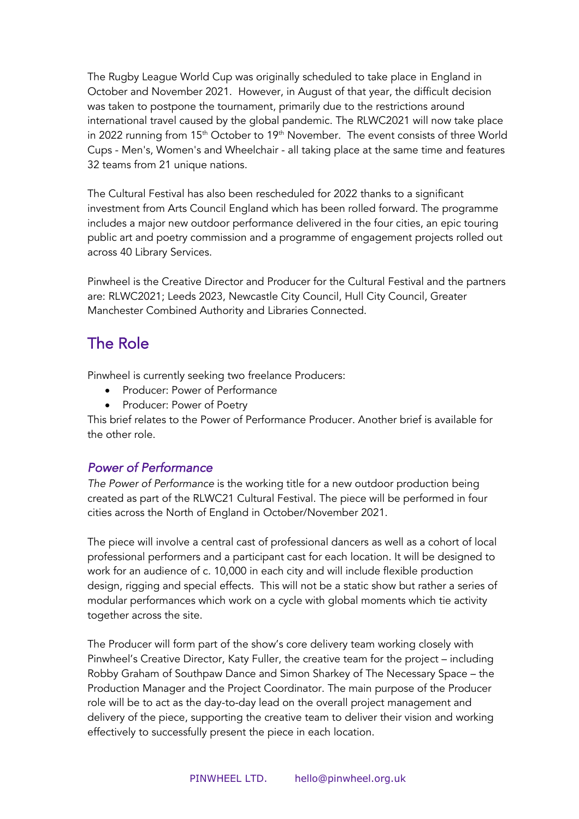The Rugby League World Cup was originally scheduled to take place in England in October and November 2021. However, in August of that year, the difficult decision was taken to postpone the tournament, primarily due to the restrictions around international travel caused by the global pandemic. The RLWC2021 will now take place in 2022 running from  $15<sup>th</sup>$  October to  $19<sup>th</sup>$  November. The event consists of three World Cups - Men's, Women's and Wheelchair - all taking place at the same time and features 32 teams from 21 unique nations.

The Cultural Festival has also been rescheduled for 2022 thanks to a significant investment from Arts Council England which has been rolled forward. The programme includes a major new outdoor performance delivered in the four cities, an epic touring public art and poetry commission and a programme of engagement projects rolled out across 40 Library Services.

Pinwheel is the Creative Director and Producer for the Cultural Festival and the partners are: RLWC2021; Leeds 2023, Newcastle City Council, Hull City Council, Greater Manchester Combined Authority and Libraries Connected.

# The Role

Pinwheel is currently seeking two freelance Producers:

- Producer: Power of Performance
- Producer: Power of Poetry

This brief relates to the Power of Performance Producer. Another brief is available for the other role.

## *Power of Performance*

*The Power of Performance* is the working title for a new outdoor production being created as part of the RLWC21 Cultural Festival. The piece will be performed in four cities across the North of England in October/November 2021.

The piece will involve a central cast of professional dancers as well as a cohort of local professional performers and a participant cast for each location. It will be designed to work for an audience of c. 10,000 in each city and will include flexible production design, rigging and special effects. This will not be a static show but rather a series of modular performances which work on a cycle with global moments which tie activity together across the site.

The Producer will form part of the show's core delivery team working closely with Pinwheel's Creative Director, Katy Fuller, the creative team for the project – including Robby Graham of Southpaw Dance and Simon Sharkey of The Necessary Space – the Production Manager and the Project Coordinator. The main purpose of the Producer role will be to act as the day-to-day lead on the overall project management and delivery of the piece, supporting the creative team to deliver their vision and working effectively to successfully present the piece in each location.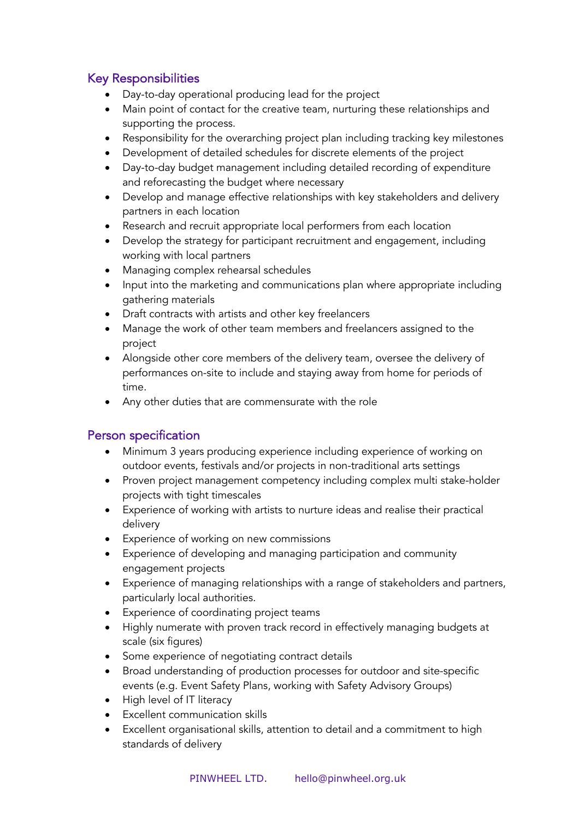## Key Responsibilities

- Day-to-day operational producing lead for the project
- Main point of contact for the creative team, nurturing these relationships and supporting the process.
- Responsibility for the overarching project plan including tracking key milestones
- Development of detailed schedules for discrete elements of the project
- Day-to-day budget management including detailed recording of expenditure and reforecasting the budget where necessary
- Develop and manage effective relationships with key stakeholders and delivery partners in each location
- Research and recruit appropriate local performers from each location
- Develop the strategy for participant recruitment and engagement, including working with local partners
- Managing complex rehearsal schedules
- Input into the marketing and communications plan where appropriate including gathering materials
- Draft contracts with artists and other key freelancers
- Manage the work of other team members and freelancers assigned to the project
- Alongside other core members of the delivery team, oversee the delivery of performances on-site to include and staying away from home for periods of time.
- Any other duties that are commensurate with the role

## Person specification

- Minimum 3 years producing experience including experience of working on outdoor events, festivals and/or projects in non-traditional arts settings
- Proven project management competency including complex multi stake-holder projects with tight timescales
- Experience of working with artists to nurture ideas and realise their practical delivery
- Experience of working on new commissions
- Experience of developing and managing participation and community engagement projects
- Experience of managing relationships with a range of stakeholders and partners, particularly local authorities.
- Experience of coordinating project teams
- Highly numerate with proven track record in effectively managing budgets at scale (six figures)
- Some experience of negotiating contract details
- Broad understanding of production processes for outdoor and site-specific events (e.g. Event Safety Plans, working with Safety Advisory Groups)
- High level of IT literacy
- Excellent communication skills
- Excellent organisational skills, attention to detail and a commitment to high standards of delivery